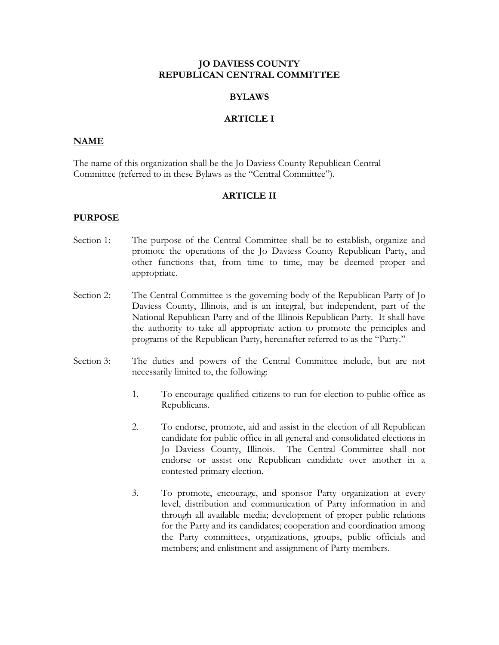### **JO DAVIESS COUNTY REPUBLICAN CENTRAL COMMITTEE**

#### **BYLAWS**

### **ARTICLE I**

#### **NAME**

The name of this organization shall be the Jo Daviess County Republican Central Committee (referred to in these Bylaws as the "Central Committee").

#### **ARTICLE II**

#### **PURPOSE**

- Section 1: The purpose of the Central Committee shall be to establish, organize and promote the operations of the Jo Daviess County Republican Party, and other functions that, from time to time, may be deemed proper and appropriate.
- Section 2: The Central Committee is the governing body of the Republican Party of Jo Daviess County, Illinois, and is an integral, but independent, part of the National Republican Party and of the Illinois Republican Party. It shall have the authority to take all appropriate action to promote the principles and programs of the Republican Party, hereinafter referred to as the "Party."
- Section 3: The duties and powers of the Central Committee include, but are not necessarily limited to, the following:
	- 1. To encourage qualified citizens to run for election to public office as Republicans.
	- 2. To endorse, promote, aid and assist in the election of all Republican candidate for public office in all general and consolidated elections in Jo Daviess County, Illinois. The Central Committee shall not endorse or assist one Republican candidate over another in a contested primary election.
	- 3. To promote, encourage, and sponsor Party organization at every level, distribution and communication of Party information in and through all available media; development of proper public relations for the Party and its candidates; cooperation and coordination among the Party committees, organizations, groups, public officials and members; and enlistment and assignment of Party members.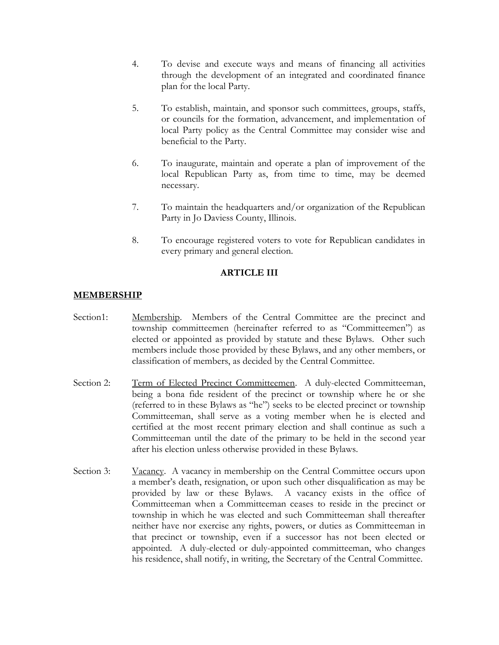- 4. To devise and execute ways and means of financing all activities through the development of an integrated and coordinated finance plan for the local Party.
- 5. To establish, maintain, and sponsor such committees, groups, staffs, or councils for the formation, advancement, and implementation of local Party policy as the Central Committee may consider wise and beneficial to the Party.
- 6. To inaugurate, maintain and operate a plan of improvement of the local Republican Party as, from time to time, may be deemed necessary.
- 7. To maintain the headquarters and/or organization of the Republican Party in Jo Daviess County, Illinois.
- 8. To encourage registered voters to vote for Republican candidates in every primary and general election.

# **ARTICLE III**

### **MEMBERSHIP**

- Section1: Membership. Members of the Central Committee are the precinct and township committeemen (hereinafter referred to as "Committeemen") as elected or appointed as provided by statute and these Bylaws. Other such members include those provided by these Bylaws, and any other members, or classification of members, as decided by the Central Committee.
- Section 2: Term of Elected Precinct Committeemen. A duly-elected Committeeman, being a bona fide resident of the precinct or township where he or she (referred to in these Bylaws as "he") seeks to be elected precinct or township Committeeman, shall serve as a voting member when he is elected and certified at the most recent primary election and shall continue as such a Committeeman until the date of the primary to be held in the second year after his election unless otherwise provided in these Bylaws.
- Section 3: Vacancy. A vacancy in membership on the Central Committee occurs upon a member's death, resignation, or upon such other disqualification as may be provided by law or these Bylaws. A vacancy exists in the office of Committeeman when a Committeeman ceases to reside in the precinct or township in which he was elected and such Committeeman shall thereafter neither have nor exercise any rights, powers, or duties as Committeeman in that precinct or township, even if a successor has not been elected or appointed. A duly-elected or duly-appointed committeeman, who changes his residence, shall notify, in writing, the Secretary of the Central Committee.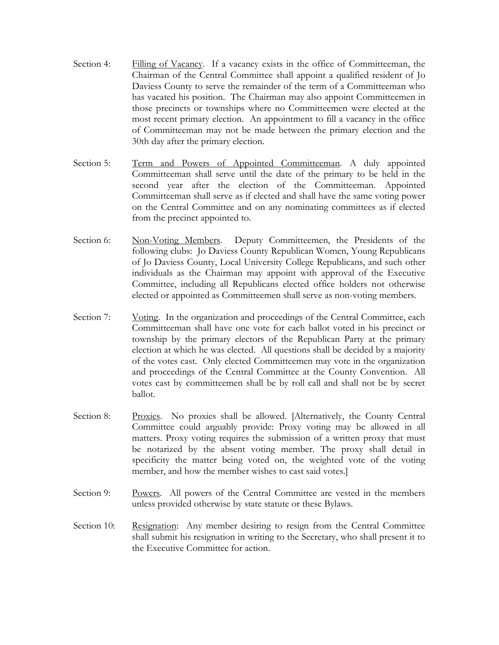- Section 4: Filling of Vacancy. If a vacancy exists in the office of Committeeman, the Chairman of the Central Committee shall appoint a qualified resident of Jo Daviess County to serve the remainder of the term of a Committeeman who has vacated his position. The Chairman may also appoint Committeemen in those precincts or townships where no Committeemen were elected at the most recent primary election. An appointment to fill a vacancy in the office of Committeeman may not be made between the primary election and the 30th day after the primary election.
- Section 5: Term and Powers of Appointed Committeeman. A duly appointed Committeeman shall serve until the date of the primary to be held in the second year after the election of the Committeeman. Appointed Committeeman shall serve as if elected and shall have the same voting power on the Central Committee and on any nominating committees as if elected from the precinct appointed to.
- Section 6: Non-Voting Members. Deputy Committeemen, the Presidents of the following clubs: Jo Daviess County Republican Women, Young Republicans of Jo Daviess County, Local University College Republicans, and such other individuals as the Chairman may appoint with approval of the Executive Committee, including all Republicans elected office holders not otherwise elected or appointed as Committeemen shall serve as non-voting members.
- Section 7: Voting. In the organization and proceedings of the Central Committee, each Committeeman shall have one vote for each ballot voted in his precinct or township by the primary electors of the Republican Party at the primary election at which he was elected. All questions shall be decided by a majority of the votes cast. Only elected Committeemen may vote in the organization and proceedings of the Central Committee at the County Convention. All votes cast by committeemen shall be by roll call and shall not be by secret ballot.
- Section 8: Proxies. No proxies shall be allowed. [Alternatively, the County Central Committee could arguably provide: Proxy voting may be allowed in all matters. Proxy voting requires the submission of a written proxy that must be notarized by the absent voting member. The proxy shall detail in specificity the matter being voted on, the weighted vote of the voting member, and how the member wishes to cast said votes.]
- Section 9: Powers. All powers of the Central Committee are vested in the members unless provided otherwise by state statute or these Bylaws.
- Section 10: Resignation: Any member desiring to resign from the Central Committee shall submit his resignation in writing to the Secretary, who shall present it to the Executive Committee for action.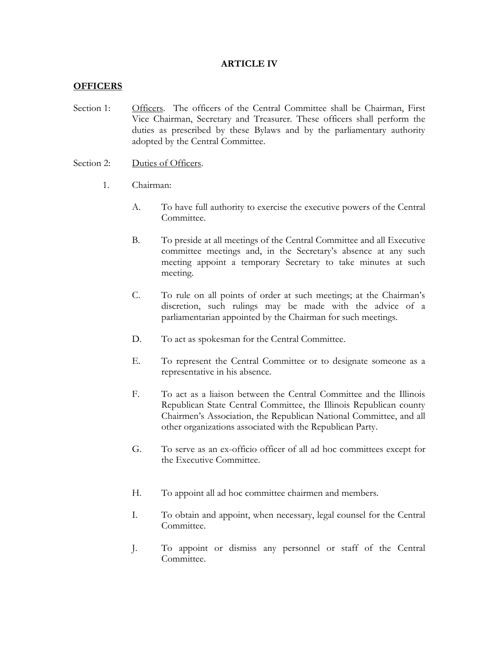### **ARTICLE IV**

### **OFFICERS**

- Section 1: Officers. The officers of the Central Committee shall be Chairman, First Vice Chairman, Secretary and Treasurer. These officers shall perform the duties as prescribed by these Bylaws and by the parliamentary authority adopted by the Central Committee.
- Section 2: Duties of Officers.
	- 1. Chairman:
		- A. To have full authority to exercise the executive powers of the Central Committee.
		- B. To preside at all meetings of the Central Committee and all Executive committee meetings and, in the Secretary's absence at any such meeting appoint a temporary Secretary to take minutes at such meeting.
		- C. To rule on all points of order at such meetings; at the Chairman's discretion, such rulings may be made with the advice of a parliamentarian appointed by the Chairman for such meetings.
		- D. To act as spokesman for the Central Committee.
		- E. To represent the Central Committee or to designate someone as a representative in his absence.
		- F. To act as a liaison between the Central Committee and the Illinois Republican State Central Committee, the Illinois Republican county Chairmen's Association, the Republican National Committee, and all other organizations associated with the Republican Party.
		- G. To serve as an ex-officio officer of all ad hoc committees except for the Executive Committee.
		- H. To appoint all ad hoc committee chairmen and members.
		- I. To obtain and appoint, when necessary, legal counsel for the Central Committee.
		- J. To appoint or dismiss any personnel or staff of the Central Committee.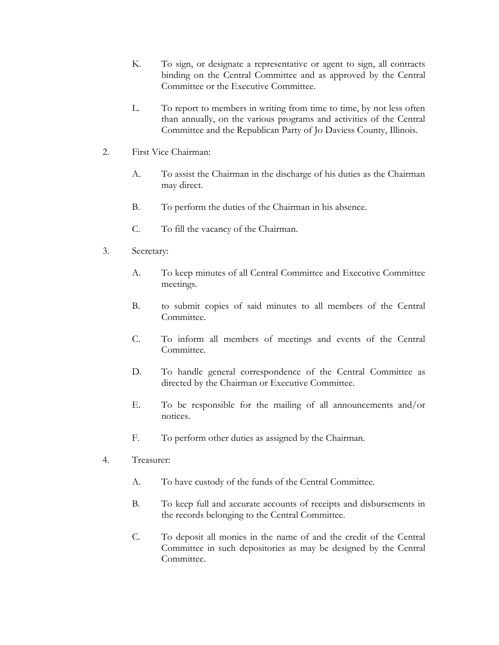- K. To sign, or designate a representative or agent to sign, all contracts binding on the Central Committee and as approved by the Central Committee or the Executive Committee.
- L. To report to members in writing from time to time, by not less often than annually, on the various programs and activities of the Central Committee and the Republican Party of Jo Daviess County, Illinois.
- 2. First Vice Chairman:
	- A. To assist the Chairman in the discharge of his duties as the Chairman may direct.
	- B. To perform the duties of the Chairman in his absence.
	- C. To fill the vacancy of the Chairman.
- 3. Secretary:
	- A. To keep minutes of all Central Committee and Executive Committee meetings.
	- B. to submit copies of said minutes to all members of the Central Committee.
	- C. To inform all members of meetings and events of the Central Committee.
	- D. To handle general correspondence of the Central Committee as directed by the Chairman or Executive Committee.
	- E. To be responsible for the mailing of all announcements and/or notices.
	- F. To perform other duties as assigned by the Chairman.
- 4. Treasurer:
	- A. To have custody of the funds of the Central Committee.
	- B. To keep full and accurate accounts of receipts and disbursements in the records belonging to the Central Committee.
	- C. To deposit all monies in the name of and the credit of the Central Committee in such depositories as may be designed by the Central Committee.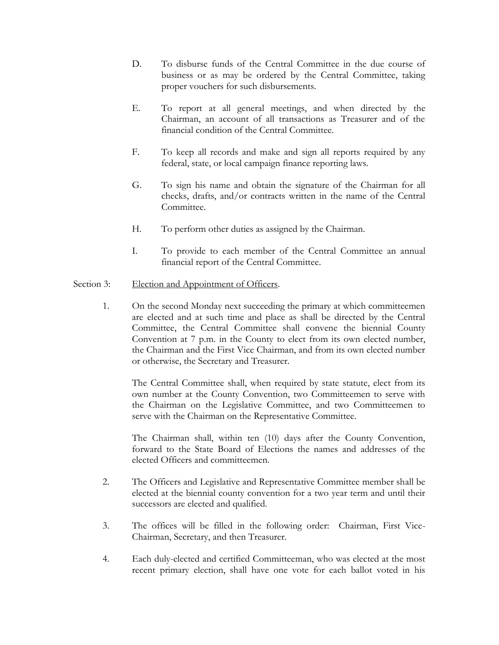- D. To disburse funds of the Central Committee in the due course of business or as may be ordered by the Central Committee, taking proper vouchers for such disbursements.
- E. To report at all general meetings, and when directed by the Chairman, an account of all transactions as Treasurer and of the financial condition of the Central Committee.
- F. To keep all records and make and sign all reports required by any federal, state, or local campaign finance reporting laws.
- G. To sign his name and obtain the signature of the Chairman for all checks, drafts, and/or contracts written in the name of the Central Committee.
- H. To perform other duties as assigned by the Chairman.
- I. To provide to each member of the Central Committee an annual financial report of the Central Committee.

# Section 3: Election and Appointment of Officers.

1. On the second Monday next succeeding the primary at which committeemen are elected and at such time and place as shall be directed by the Central Committee, the Central Committee shall convene the biennial County Convention at 7 p.m. in the County to elect from its own elected number, the Chairman and the First Vice Chairman, and from its own elected number or otherwise, the Secretary and Treasurer.

The Central Committee shall, when required by state statute, elect from its own number at the County Convention, two Committeemen to serve with the Chairman on the Legislative Committee, and two Committeemen to serve with the Chairman on the Representative Committee.

The Chairman shall, within ten (10) days after the County Convention, forward to the State Board of Elections the names and addresses of the elected Officers and committeemen.

- 2. The Officers and Legislative and Representative Committee member shall be elected at the biennial county convention for a two year term and until their successors are elected and qualified.
- 3. The offices will be filled in the following order: Chairman, First Vice-Chairman, Secretary, and then Treasurer.
- 4. Each duly-elected and certified Committeeman, who was elected at the most recent primary election, shall have one vote for each ballot voted in his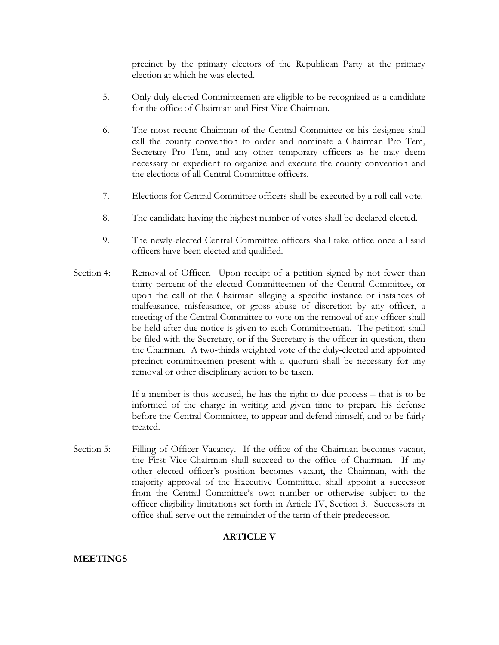precinct by the primary electors of the Republican Party at the primary election at which he was elected.

- 5. Only duly elected Committeemen are eligible to be recognized as a candidate for the office of Chairman and First Vice Chairman.
- 6. The most recent Chairman of the Central Committee or his designee shall call the county convention to order and nominate a Chairman Pro Tem, Secretary Pro Tem, and any other temporary officers as he may deem necessary or expedient to organize and execute the county convention and the elections of all Central Committee officers.
- 7. Elections for Central Committee officers shall be executed by a roll call vote.
- 8. The candidate having the highest number of votes shall be declared elected.
- 9. The newly-elected Central Committee officers shall take office once all said officers have been elected and qualified.
- Section 4: Removal of Officer. Upon receipt of a petition signed by not fewer than thirty percent of the elected Committeemen of the Central Committee, or upon the call of the Chairman alleging a specific instance or instances of malfeasance, misfeasance, or gross abuse of discretion by any officer, a meeting of the Central Committee to vote on the removal of any officer shall be held after due notice is given to each Committeeman. The petition shall be filed with the Secretary, or if the Secretary is the officer in question, then the Chairman. A two-thirds weighted vote of the duly-elected and appointed precinct committeemen present with a quorum shall be necessary for any removal or other disciplinary action to be taken.

If a member is thus accused, he has the right to due process – that is to be informed of the charge in writing and given time to prepare his defense before the Central Committee, to appear and defend himself, and to be fairly treated.

Section 5: Filling of Officer Vacancy. If the office of the Chairman becomes vacant, the First Vice-Chairman shall succeed to the office of Chairman. If any other elected officer's position becomes vacant, the Chairman, with the majority approval of the Executive Committee, shall appoint a successor from the Central Committee's own number or otherwise subject to the officer eligibility limitations set forth in Article IV, Section 3. Successors in office shall serve out the remainder of the term of their predecessor.

# **ARTICLE V**

# **MEETINGS**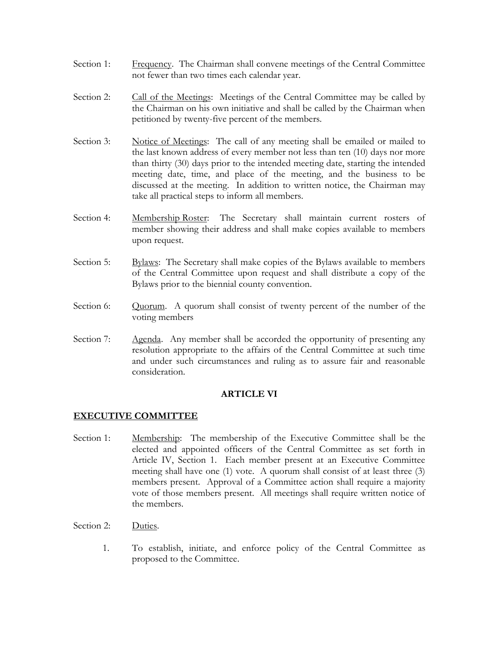- Section 1: Frequency. The Chairman shall convene meetings of the Central Committee not fewer than two times each calendar year.
- Section 2: Call of the Meetings: Meetings of the Central Committee may be called by the Chairman on his own initiative and shall be called by the Chairman when petitioned by twenty-five percent of the members.
- Section 3: Notice of Meetings: The call of any meeting shall be emailed or mailed to the last known address of every member not less than ten (10) days nor more than thirty (30) days prior to the intended meeting date, starting the intended meeting date, time, and place of the meeting, and the business to be discussed at the meeting. In addition to written notice, the Chairman may take all practical steps to inform all members.
- Section 4: Membership Roster: The Secretary shall maintain current rosters of member showing their address and shall make copies available to members upon request.
- Section 5: Bylaws: The Secretary shall make copies of the Bylaws available to members of the Central Committee upon request and shall distribute a copy of the Bylaws prior to the biennial county convention.
- Section 6: Quorum. A quorum shall consist of twenty percent of the number of the voting members
- Section 7: Agenda. Any member shall be accorded the opportunity of presenting any resolution appropriate to the affairs of the Central Committee at such time and under such circumstances and ruling as to assure fair and reasonable consideration.

# **ARTICLE VI**

# **EXECUTIVE COMMITTEE**

- Section 1: Membership: The membership of the Executive Committee shall be the elected and appointed officers of the Central Committee as set forth in Article IV, Section 1. Each member present at an Executive Committee meeting shall have one (1) vote. A quorum shall consist of at least three (3) members present. Approval of a Committee action shall require a majority vote of those members present. All meetings shall require written notice of the members.
- Section 2: Duties.
	- 1. To establish, initiate, and enforce policy of the Central Committee as proposed to the Committee.